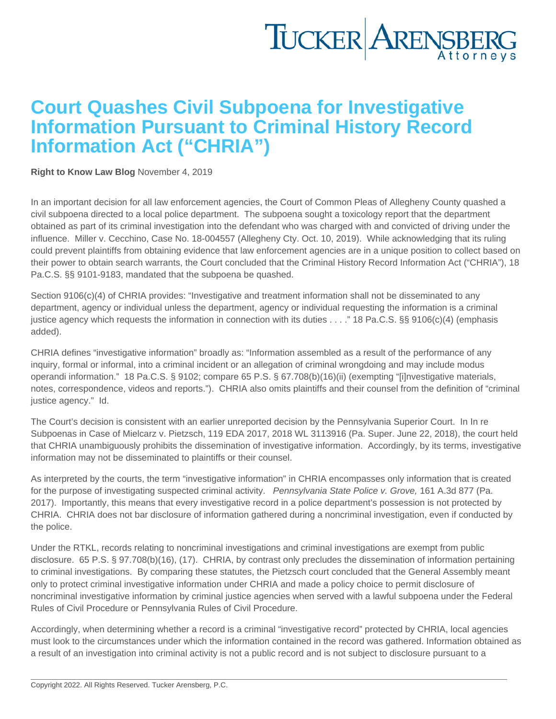## Court Quashes Civil Subpoena for Investigative Information Pursuant to Criminal History Record Information Act ("CHRIA")

[Right to Know Law Blog](https://www.tuckerlaw.com/category/right-to-know-law-blog/) November 4, 2019

In an important decision for all law enforcement agencies, the Court of Common Pleas of Allegheny County quashed a civil subpoena directed to a local police department. The subpoena sought a toxicology report that the department obtained as part of its criminal investigation into the defendant who was charged with and convicted of driving under the influence. Miller v. Cecchino, Case No. 18-004557 (Allegheny Cty. Oct. 10, 2019). While acknowledging that its ruling could prevent plaintiffs from obtaining evidence that law enforcement agencies are in a unique position to collect based on their power to obtain search warrants, the Court concluded that the Criminal History Record Information Act ("CHRIA"), 18 Pa.C.S. §§ 9101-9183, mandated that the subpoena be quashed.

Section 9106(c)(4) of CHRIA provides: "Investigative and treatment information shall not be disseminated to any department, agency or individual unless the department, agency or individual requesting the information is a criminal justice agency which requests the information in connection with its duties . . . ." 18 Pa.C.S. §§ 9106(c)(4) (emphasis added).

CHRIA defines "investigative information" broadly as: "Information assembled as a result of the performance of any inquiry, formal or informal, into a criminal incident or an allegation of criminal wrongdoing and may include modus operandi information." 18 Pa.C.S. § 9102; compare 65 P.S. § 67.708(b)(16)(ii) (exempting "[i]nvestigative materials, notes, correspondence, videos and reports."). CHRIA also omits plaintiffs and their counsel from the definition of "criminal justice agency." Id.

The Court's decision is consistent with an earlier unreported decision by the Pennsylvania Superior Court. In In re Subpoenas in Case of Mielcarz v. Pietzsch, 119 EDA 2017, 2018 WL 3113916 (Pa. Super. June 22, 2018), the court held that CHRIA unambiguously prohibits the dissemination of investigative information. Accordingly, by its terms, investigative information may not be disseminated to plaintiffs or their counsel.

As interpreted by the courts, the term "investigative information" in CHRIA encompasses only information that is created for the purpose of investigating suspected criminal activity. Pennsylvania State Police v. Grove, 161 A.3d 877 (Pa. 2017). Importantly, this means that every investigative record in a police department's possession is not protected by CHRIA. CHRIA does not bar disclosure of information gathered during a noncriminal investigation, even if conducted by the police.

Under the RTKL, records relating to noncriminal investigations and criminal investigations are exempt from public disclosure. 65 P.S. § 97.708(b)(16), (17). CHRIA, by contrast only precludes the dissemination of information pertaining to criminal investigations. By comparing these statutes, the Pietzsch court concluded that the General Assembly meant only to protect criminal investigative information under CHRIA and made a policy choice to permit disclosure of noncriminal investigative information by criminal justice agencies when served with a lawful subpoena under the Federal Rules of Civil Procedure or Pennsylvania Rules of Civil Procedure.

Accordingly, when determining whether a record is a criminal "investigative record" protected by CHRIA, local agencies must look to the circumstances under which the information contained in the record was gathered. Information obtained as a result of an investigation into criminal activity is not a public record and is not subject to disclosure pursuant to a